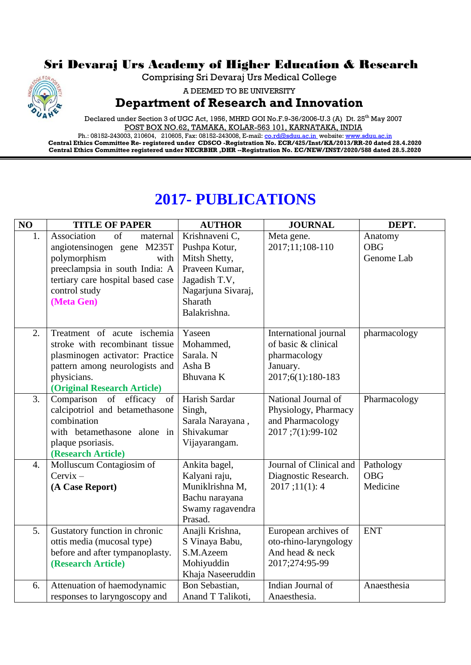## Sri Devaraj Urs Academy of Higher Education & Research

Comprising Sri Devaraj Urs Medical College



A DEEMED TO BE UNIVERSITY

## **Department of Research and Innovation**

Declared under Section 3 of UGC Act, 1956, MHRD GOI No.F.9-36/2006-U.3 (A) Dt. 25<sup>th</sup> May 2007 POST BOX NO.62, TAMAKA, KOLAR-563 101, KARNATAKA, INDIA

Ph.: 08152-243003, 210604, 210605, Fax: 08152-243008, E-mail: <u>co.rd@sduu.ac.in</u>\_website: <u>www.sduu.ac.in</u> **Central Ethics Committee Re- registered under CDSCO -Registration No. ECR/425/Inst/KA/2013/RR-20 dated 28.4.2020 Central Ethics Committee registered under NECRBHR ,DHR --Registration No. EC/NEW/INST/2020/588 dated 28.5.2020**

## **2017- PUBLICATIONS**

| NO | <b>TITLE OF PAPER</b>             | <b>AUTHOR</b>      | <b>JOURNAL</b>          | DEPT.        |
|----|-----------------------------------|--------------------|-------------------------|--------------|
| 1. | Association<br>of<br>maternal     | Krishnaveni C,     | Meta gene.              | Anatomy      |
|    | angiotensinogen gene M235T        | Pushpa Kotur,      | 2017;11;108-110         | <b>OBG</b>   |
|    | polymorphism<br>with              | Mitsh Shetty,      |                         | Genome Lab   |
|    | preeclampsia in south India: A    | Praveen Kumar,     |                         |              |
|    | tertiary care hospital based case | Jagadish T.V,      |                         |              |
|    | control study                     | Nagarjuna Sivaraj, |                         |              |
|    | (Meta Gen)                        | Sharath            |                         |              |
|    |                                   | Balakrishna.       |                         |              |
| 2. | Treatment of acute ischemia       | Yaseen             | International journal   | pharmacology |
|    | stroke with recombinant tissue    | Mohammed,          | of basic & clinical     |              |
|    | plasminogen activator: Practice   | Sarala. N          | pharmacology            |              |
|    | pattern among neurologists and    | Asha B             | January.                |              |
|    | physicians.                       | Bhuvana K          | 2017;6(1):180-183       |              |
|    | (Original Research Article)       |                    |                         |              |
| 3. | Comparison of efficacy<br>of      | Harish Sardar      | National Journal of     | Pharmacology |
|    | calcipotriol and betamethasone    | Singh,             | Physiology, Pharmacy    |              |
|    | combination                       | Sarala Narayana,   | and Pharmacology        |              |
|    | with betamethasone alone in       | Shivakumar         | 2017;7(1):99-102        |              |
|    | plaque psoriasis.                 | Vijayarangam.      |                         |              |
|    | (Research Article)                |                    |                         |              |
| 4. | Molluscum Contagiosim of          | Ankita bagel,      | Journal of Clinical and | Pathology    |
|    | $Cervix -$                        | Kalyani raju,      | Diagnostic Research.    | <b>OBG</b>   |
|    | (A Case Report)                   | Muniklrishna M,    | 2017;11(1):4            | Medicine     |
|    |                                   | Bachu narayana     |                         |              |
|    |                                   | Swamy ragavendra   |                         |              |
|    |                                   | Prasad.            |                         |              |
| 5. | Gustatory function in chronic     | Anajli Krishna,    | European archives of    | <b>ENT</b>   |
|    | ottis media (mucosal type)        | S Vinaya Babu,     | oto-rhino-laryngology   |              |
|    | before and after tympanoplasty.   | S.M.Azeem          | And head & neck         |              |
|    | (Research Article)                | Mohiyuddin         | 2017;274:95-99          |              |
|    |                                   | Khaja Naseeruddin  |                         |              |
| 6. | Attenuation of haemodynamic       | Bon Sebastian,     | Indian Journal of       | Anaesthesia  |
|    | responses to laryngoscopy and     | Anand T Talikoti,  | Anaesthesia.            |              |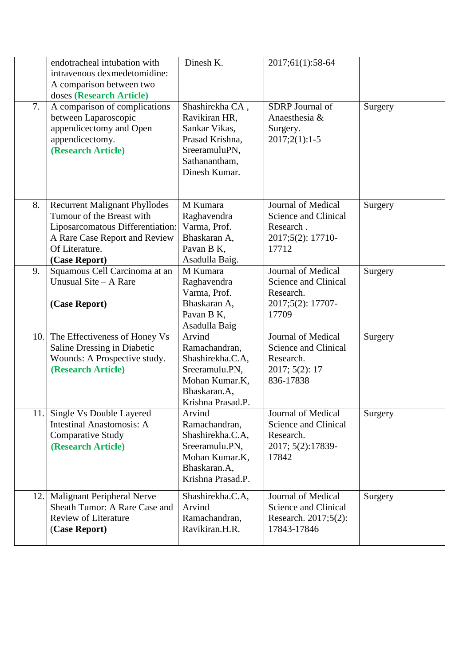| 7.  | endotracheal intubation with<br>intravenous dexmedetomidine:<br>A comparison between two<br>doses (Research Article)<br>A comparison of complications                     | Dinesh K.<br>Shashirekha CA,                                                                                         | 2017;61(1):58-64<br>SDRP Journal of                                                    | Surgery |
|-----|---------------------------------------------------------------------------------------------------------------------------------------------------------------------------|----------------------------------------------------------------------------------------------------------------------|----------------------------------------------------------------------------------------|---------|
|     | between Laparoscopic<br>appendicectomy and Open<br>appendicectomy.<br>(Research Article)                                                                                  | Ravikiran HR,<br>Sankar Vikas,<br>Prasad Krishna,<br>SreeramuluPN,<br>Sathanantham,<br>Dinesh Kumar.                 | Anaesthesia &<br>Surgery.<br>$2017;2(1):1-5$                                           |         |
| 8.  | <b>Recurrent Malignant Phyllodes</b><br>Tumour of the Breast with<br>Liposarcomatous Differentiation:<br>A Rare Case Report and Review<br>Of Literature.<br>(Case Report) | M Kumara<br>Raghavendra<br>Varma, Prof.<br>Bhaskaran A,<br>Pavan B K,<br>Asadulla Baig.                              | Journal of Medical<br>Science and Clinical<br>Research.<br>2017;5(2): 17710-<br>17712  | Surgery |
| 9.  | Squamous Cell Carcinoma at an<br>Unusual Site – A Rare<br>(Case Report)                                                                                                   | M Kumara<br>Raghavendra<br>Varma, Prof.<br>Bhaskaran A,<br>Pavan B K,<br>Asadulla Baig                               | Journal of Medical<br>Science and Clinical<br>Research.<br>2017;5(2): 17707-<br>17709  | Surgery |
| 10. | The Effectiveness of Honey Vs<br>Saline Dressing in Diabetic<br>Wounds: A Prospective study.<br>(Research Article)                                                        | Arvind<br>Ramachandran,<br>Shashirekha.C.A,<br>Sreeramulu.PN,<br>Mohan Kumar.K,<br>Bhaskaran.A,<br>Krishna Prasad.P. | Journal of Medical<br>Science and Clinical<br>Research.<br>2017; 5(2): 17<br>836-17838 | Surgery |
|     | 11. Single Vs Double Layered<br><b>Intestinal Anastomosis: A</b><br><b>Comparative Study</b><br>(Research Article)                                                        | Arvind<br>Ramachandran,<br>Shashirekha.C.A,<br>Sreeramulu.PN,<br>Mohan Kumar.K,<br>Bhaskaran.A,<br>Krishna Prasad.P. | Journal of Medical<br>Science and Clinical<br>Research.<br>2017; 5(2):17839-<br>17842  | Surgery |
| 12. | <b>Malignant Peripheral Nerve</b><br>Sheath Tumor: A Rare Case and<br><b>Review of Literature</b><br>(Case Report)                                                        | Shashirekha.C.A,<br>Arvind<br>Ramachandran,<br>Ravikiran.H.R.                                                        | Journal of Medical<br>Science and Clinical<br>Research. 2017;5(2):<br>17843-17846      | Surgery |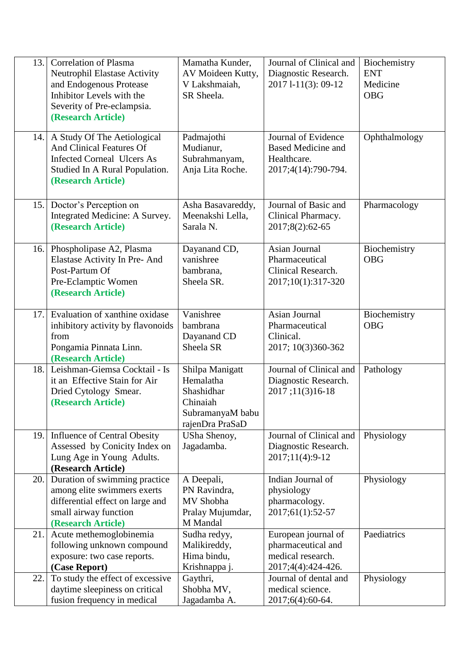| 13.1 | <b>Correlation of Plasma</b>                                    | Mamatha Kunder,                     | Journal of Clinical and         | Biochemistry  |
|------|-----------------------------------------------------------------|-------------------------------------|---------------------------------|---------------|
|      | Neutrophil Elastase Activity                                    | AV Moideen Kutty,                   | Diagnostic Research.            | <b>ENT</b>    |
|      | and Endogenous Protease                                         | V Lakshmaiah,                       | 2017 1-11(3): 09-12             | Medicine      |
|      | Inhibitor Levels with the                                       | SR Sheela.                          |                                 | <b>OBG</b>    |
|      | Severity of Pre-eclampsia.                                      |                                     |                                 |               |
|      | (Research Article)                                              |                                     |                                 |               |
| 14.  | A Study Of The Aetiological                                     | Padmajothi                          | Journal of Evidence             | Ophthalmology |
|      | And Clinical Features Of                                        | Mudianur,                           | <b>Based Medicine and</b>       |               |
|      | <b>Infected Corneal Ulcers As</b>                               | Subrahmanyam,                       | Healthcare.                     |               |
|      | Studied In A Rural Population.                                  | Anja Lita Roche.                    | 2017;4(14):790-794.             |               |
|      | (Research Article)                                              |                                     |                                 |               |
| 15.  | Doctor's Perception on                                          | Asha Basavareddy,                   | Journal of Basic and            | Pharmacology  |
|      | Integrated Medicine: A Survey.                                  | Meenakshi Lella,                    | Clinical Pharmacy.              |               |
|      | (Research Article)                                              | Sarala N.                           | 2017;8(2):62-65                 |               |
|      | 16. Phospholipase A2, Plasma                                    | Dayanand CD,                        | Asian Journal                   | Biochemistry  |
|      | Elastase Activity In Pre- And                                   | vanishree                           | Pharmaceutical                  | <b>OBG</b>    |
|      | Post-Partum Of                                                  | bambrana,                           | Clinical Research.              |               |
|      | Pre-Eclamptic Women                                             | Sheela SR.                          | 2017;10(1):317-320              |               |
|      | (Research Article)                                              |                                     |                                 |               |
|      |                                                                 |                                     |                                 |               |
| 17.1 | Evaluation of xanthine oxidase                                  | Vanishree                           | Asian Journal                   | Biochemistry  |
|      | inhibitory activity by flavonoids                               | bambrana                            | Pharmaceutical                  | <b>OBG</b>    |
|      | from<br>Pongamia Pinnata Linn.                                  | Dayanand CD<br>Sheela SR            | Clinical.<br>2017; 10(3)360-362 |               |
|      | (Research Article)                                              |                                     |                                 |               |
| 18.  | Leishman-Giemsa Cocktail - Is                                   | Shilpa Manigatt                     | Journal of Clinical and         | Pathology     |
|      | it an Effective Stain for Air                                   | Hemalatha                           | Diagnostic Research.            |               |
|      | Dried Cytology Smear.                                           | Shashidhar                          | 2017;11(3)16-18                 |               |
|      | (Research Article)                                              | Chinaiah                            |                                 |               |
|      |                                                                 | SubramanyaM babu<br>rajenDra PraSaD |                                 |               |
| 19.1 | <b>Influence of Central Obesity</b>                             | USha Shenoy,                        | Journal of Clinical and         | Physiology    |
|      | Assessed by Conicity Index on                                   | Jagadamba.                          | Diagnostic Research.            |               |
|      | Lung Age in Young Adults.                                       |                                     | 2017;11(4):9-12                 |               |
|      | (Research Article)                                              |                                     |                                 |               |
| 20.1 | Duration of swimming practice                                   | A Deepali,                          | Indian Journal of               | Physiology    |
|      | among elite swimmers exerts<br>differential effect on large and | PN Ravindra,<br>MV Shobha           | physiology<br>pharmacology.     |               |
|      | small airway function                                           | Pralay Mujumdar,                    | 2017;61(1):52-57                |               |
|      | (Research Article)                                              | M Mandal                            |                                 |               |
| 21.  | Acute methemoglobinemia                                         | Sudha redyy,                        | European journal of             | Paediatrics   |
|      | following unknown compound                                      | Malikireddy,                        | pharmaceutical and              |               |
|      | exposure: two case reports.                                     | Hima bindu,                         | medical research.               |               |
|      | (Case Report)                                                   | Krishnappa j.                       | 2017;4(4):424-426.              |               |
| 22.  | To study the effect of excessive                                | Gaythri,                            | Journal of dental and           | Physiology    |
|      | daytime sleepiness on critical<br>fusion frequency in medical   | Shobha MV,                          | medical science.                |               |
|      |                                                                 | Jagadamba A.                        | 2017;6(4):60-64.                |               |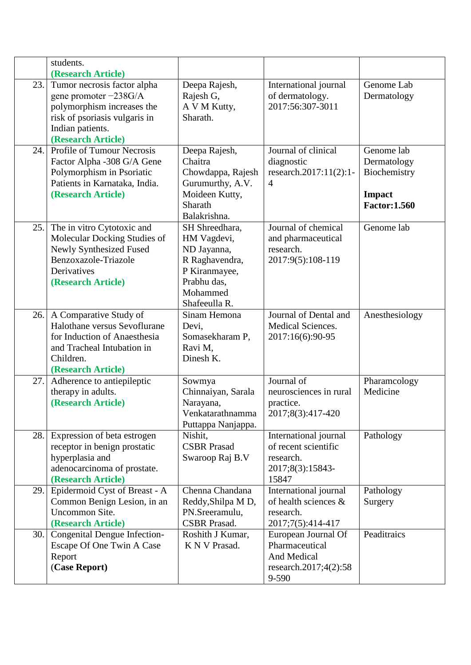|      | students.                         |                     |                        |                     |
|------|-----------------------------------|---------------------|------------------------|---------------------|
|      | (Research Article)                |                     |                        |                     |
| 23.  | Tumor necrosis factor alpha       | Deepa Rajesh,       | International journal  | Genome Lab          |
|      | gene promoter $-238G/A$           | Rajesh G,           | of dermatology.        | Dermatology         |
|      | polymorphism increases the        | A V M Kutty,        | 2017:56:307-3011       |                     |
|      | risk of psoriasis vulgaris in     | Sharath.            |                        |                     |
|      | Indian patients.                  |                     |                        |                     |
|      | (Research Article)                |                     |                        |                     |
| 24.  | <b>Profile of Tumour Necrosis</b> | Deepa Rajesh,       | Journal of clinical    | Genome lab          |
|      | Factor Alpha -308 G/A Gene        | Chaitra             | diagnostic             | Dermatology         |
|      | Polymorphism in Psoriatic         | Chowdappa, Rajesh   | research.2017:11(2):1- | Biochemistry        |
|      | Patients in Karnataka, India.     | Gurumurthy, A.V.    | $\overline{4}$         |                     |
|      | (Research Article)                | Moideen Kutty,      |                        | <b>Impact</b>       |
|      |                                   | Sharath             |                        | <b>Factor:1.560</b> |
|      |                                   | Balakrishna.        |                        |                     |
| 25.1 | The in vitro Cytotoxic and        | SH Shreedhara,      | Journal of chemical    | Genome lab          |
|      | Molecular Docking Studies of      | HM Vagdevi,         | and pharmaceutical     |                     |
|      | Newly Synthesized Fused           | ND Jayanna,         | research.              |                     |
|      | Benzoxazole-Triazole              | R Raghavendra,      | 2017:9(5):108-119      |                     |
|      | Derivatives                       | P Kiranmayee,       |                        |                     |
|      | (Research Article)                | Prabhu das,         |                        |                     |
|      |                                   | Mohammed            |                        |                     |
|      |                                   | Shafeeulla R.       |                        |                     |
| 26.  | A Comparative Study of            | Sinam Hemona        | Journal of Dental and  | Anesthesiology      |
|      | Halothane versus Sevoflurane      | Devi,               | Medical Sciences.      |                     |
|      | for Induction of Anaesthesia      | Somasekharam P,     | 2017:16(6):90-95       |                     |
|      | and Tracheal Intubation in        | Ravi M,             |                        |                     |
|      | Children.                         | Dinesh K.           |                        |                     |
|      | (Research Article)                |                     |                        |                     |
| 27.  | Adherence to antiepileptic        | Sowmya              | Journal of             | Pharamcology        |
|      | therapy in adults.                | Chinnaiyan, Sarala  | neurosciences in rural | Medicine            |
|      | (Research Article)                | Narayana,           | practice.              |                     |
|      |                                   | Venkatarathnamma    | 2017;8(3):417-420      |                     |
|      |                                   | Puttappa Nanjappa.  |                        |                     |
| 28.  | Expression of beta estrogen       | Nishit,             | International journal  | Pathology           |
|      | receptor in benign prostatic      | <b>CSBR</b> Prasad  | of recent scientific   |                     |
|      | hyperplasia and                   | Swaroop Raj B.V     | research.              |                     |
|      | adenocarcinoma of prostate.       |                     | 2017;8(3):15843-       |                     |
|      | (Research Article)                |                     | 15847                  |                     |
| 29.  | Epidermoid Cyst of Breast - A     | Chenna Chandana     | International journal  | Pathology           |
|      | Common Benign Lesion, in an       | Reddy, Shilpa M D,  | of health sciences &   | Surgery             |
|      | Uncommon Site.                    | PN.Sreeramulu,      | research.              |                     |
|      | (Research Article)                | <b>CSBR</b> Prasad. | 2017;7(5):414-417      |                     |
| 30.1 | Congenital Dengue Infection-      | Roshith J Kumar,    | European Journal Of    | Peaditraics         |
|      | Escape Of One Twin A Case         | K N V Prasad.       | Pharmaceutical         |                     |
|      | Report                            |                     | And Medical            |                     |
|      | (Case Report)                     |                     | research.2017;4(2):58  |                     |
|      |                                   |                     | 9-590                  |                     |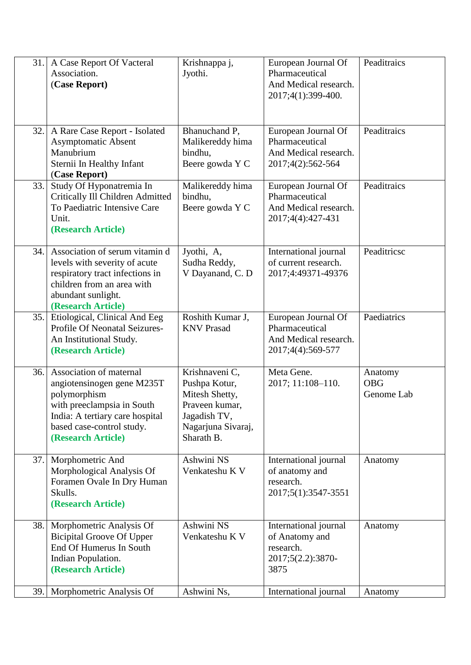| 31. | A Case Report Of Vacteral<br>Association.<br>(Case Report)                                                                                                                                | Krishnappa j,<br>Jyothi.                                                                                                | European Journal Of<br>Pharmaceutical<br>And Medical research.<br>2017;4(1):399-400. | Peaditraics                         |
|-----|-------------------------------------------------------------------------------------------------------------------------------------------------------------------------------------------|-------------------------------------------------------------------------------------------------------------------------|--------------------------------------------------------------------------------------|-------------------------------------|
| 32. | A Rare Case Report - Isolated<br><b>Asymptomatic Absent</b><br>Manubrium<br>Sternii In Healthy Infant<br>(Case Report)                                                                    | Bhanuchand P,<br>Malikereddy hima<br>bindhu,<br>Beere gowda Y C                                                         | European Journal Of<br>Pharmaceutical<br>And Medical research.<br>2017;4(2):562-564  | Peaditraics                         |
| 33. | Study Of Hyponatremia In<br>Critically Ill Children Admitted<br>To Paediatric Intensive Care<br>Unit.<br>(Research Article)                                                               | Malikereddy hima<br>bindhu,<br>Beere gowda Y C                                                                          | European Journal Of<br>Pharmaceutical<br>And Medical research.<br>2017;4(4):427-431  | Peaditraics                         |
| 34. | Association of serum vitamin d<br>levels with severity of acute<br>respiratory tract infections in<br>children from an area with<br>abundant sunlight.<br>(Research Article)              | Jyothi, A,<br>Sudha Reddy,<br>V Dayanand, C. D                                                                          | International journal<br>of current research.<br>2017;4:49371-49376                  | Peaditricsc                         |
| 35. | Etiological, Clinical And Eeg<br>Profile Of Neonatal Seizures-<br>An Institutional Study.<br>(Research Article)                                                                           | Roshith Kumar J,<br><b>KNV Prasad</b>                                                                                   | European Journal Of<br>Pharmaceutical<br>And Medical research.<br>2017;4(4):569-577  | Paediatrics                         |
| 36. | Association of maternal<br>angiotensinogen gene M235T<br>polymorphism<br>with preeclampsia in South<br>India: A tertiary care hospital<br>based case-control study.<br>(Research Article) | Krishnaveni C,<br>Pushpa Kotur,<br>Mitesh Shetty,<br>Praveen kumar,<br>Jagadish TV,<br>Nagarjuna Sivaraj,<br>Sharath B. | Meta Gene.<br>2017; 11:108-110.                                                      | Anatomy<br><b>OBG</b><br>Genome Lab |
| 37. | Morphometric And<br>Morphological Analysis Of<br>Foramen Ovale In Dry Human<br>Skulls.<br>(Research Article)                                                                              | Ashwini NS<br>Venkateshu K V                                                                                            | International journal<br>of anatomy and<br>research.<br>2017;5(1):3547-3551          | Anatomy                             |
| 38. | Morphometric Analysis Of<br><b>Bicipital Groove Of Upper</b><br>End Of Humerus In South<br>Indian Population.<br>(Research Article)                                                       | Ashwini NS<br>Venkateshu K V                                                                                            | International journal<br>of Anatomy and<br>research.<br>2017;5(2.2):3870-<br>3875    | Anatomy                             |
| 39. | Morphometric Analysis Of                                                                                                                                                                  | Ashwini Ns,                                                                                                             | International journal                                                                | Anatomy                             |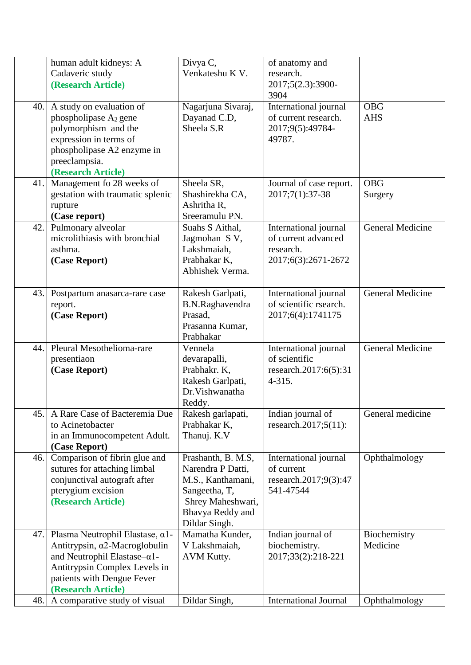|     | human adult kidneys: A<br>Cadaveric study<br>(Research Article)                                                                                                                                               | Divya C,<br>Venkateshu K V.                                                                                                             | of anatomy and<br>research.<br>2017;5(2.3):3900-<br>3904                         |                          |
|-----|---------------------------------------------------------------------------------------------------------------------------------------------------------------------------------------------------------------|-----------------------------------------------------------------------------------------------------------------------------------------|----------------------------------------------------------------------------------|--------------------------|
| 40. | A study on evaluation of<br>phospholipase $A_2$ gene<br>polymorphism and the<br>expression in terms of<br>phospholipase A2 enzyme in<br>preeclampsia.<br>(Research Article)                                   | Nagarjuna Sivaraj,<br>Dayanad C.D,<br>Sheela S.R                                                                                        | International journal<br>of current research.<br>2017;9(5):49784-<br>49787.      | <b>OBG</b><br><b>AHS</b> |
| 41. | Management fo 28 weeks of<br>gestation with traumatic splenic<br>rupture<br>(Case report)                                                                                                                     | Sheela SR,<br>Shashirekha CA,<br>Ashritha R,<br>Sreeramulu PN.                                                                          | Journal of case report.<br>2017;7(1):37-38                                       | <b>OBG</b><br>Surgery    |
| 42. | Pulmonary alveolar<br>microlithiasis with bronchial<br>asthma.<br>(Case Report)                                                                                                                               | Suahs S Aithal,<br>Jagmohan S V,<br>Lakshmaiah,<br>Prabhakar K,<br>Abhishek Verma.                                                      | International journal<br>of current advanced<br>research.<br>2017;6(3):2671-2672 | <b>General Medicine</b>  |
| 43. | Postpartum anasarca-rare case<br>report.<br>(Case Report)                                                                                                                                                     | Rakesh Garlpati,<br>B.N.Raghavendra<br>Prasad,<br>Prasanna Kumar,<br>Prabhakar                                                          | International journal<br>of scientific rsearch.<br>2017;6(4):1741175             | <b>General Medicine</b>  |
| 44. | Pleural Mesothelioma-rare<br>presentiaon<br>(Case Report)                                                                                                                                                     | Vennela<br>devarapalli,<br>Prabhakr. K,<br>Rakesh Garlpati,<br>Dr. Vishwanatha<br>Reddy.                                                | International journal<br>of scientific<br>research.2017:6(5):31<br>$4 - 315.$    | <b>General Medicine</b>  |
| 45. | A Rare Case of Bacteremia Due<br>to Acinetobacter<br>in an Immunocompetent Adult.<br>(Case Report)                                                                                                            | Rakesh garlapati,<br>Prabhakar K,<br>Thanuj. K.V                                                                                        | Indian journal of<br>research.2017;5 $(11)$ :                                    | General medicine         |
| 46. | Comparison of fibrin glue and<br>sutures for attaching limbal<br>conjunctival autograft after<br>pterygium excision<br>(Research Article)                                                                     | Prashanth, B. M.S,<br>Narendra P Datti,<br>M.S., Kanthamani,<br>Sangeetha, T,<br>Shrey Maheshwari,<br>Bhavya Reddy and<br>Dildar Singh. | International journal<br>of current<br>research.2017;9(3):47<br>541-47544        | Ophthalmology            |
| 47. | Plasma Neutrophil Elastase, $\alpha$ 1-<br>Antitrypsin, $\alpha$ 2-Macroglobulin<br>and Neutrophil Elastase- $\alpha$ 1-<br>Antitrypsin Complex Levels in<br>patients with Dengue Fever<br>(Research Article) | Mamatha Kunder,<br>V Lakshmaiah,<br>AVM Kutty.                                                                                          | Indian journal of<br>biochemistry.<br>2017;33(2):218-221                         | Biochemistry<br>Medicine |
| 48. | A comparative study of visual                                                                                                                                                                                 | Dildar Singh,                                                                                                                           | <b>International Journal</b>                                                     | Ophthalmology            |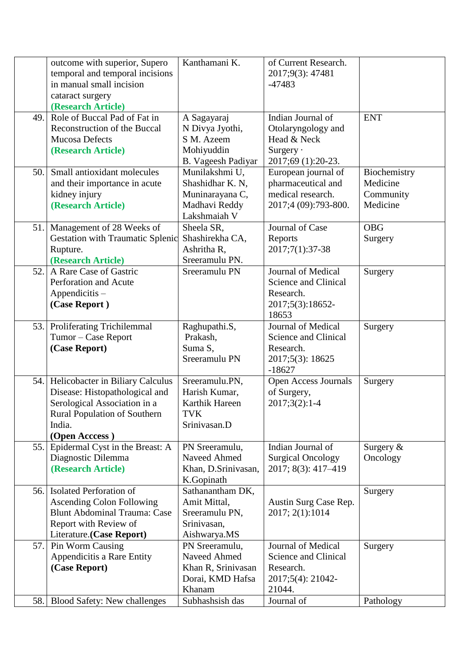|      | outcome with superior, Supero<br>temporal and temporal incisions<br>in manual small incision<br>cataract surgery<br>(Research Article)                                | Kanthamani K.                                                                          | of Current Research.<br>2017;9(3): 47481<br>$-47483$                                      |                                                   |
|------|-----------------------------------------------------------------------------------------------------------------------------------------------------------------------|----------------------------------------------------------------------------------------|-------------------------------------------------------------------------------------------|---------------------------------------------------|
| 49.  | Role of Buccal Pad of Fat in<br>Reconstruction of the Buccal<br>Mucosa Defects<br>(Research Article)                                                                  | A Sagayaraj<br>N Divya Jyothi,<br>S M. Azeem<br>Mohiyuddin<br>B. Vageesh Padiyar       | Indian Journal of<br>Otolaryngology and<br>Head & Neck<br>Surgery .<br>2017;69 (1):20-23. | <b>ENT</b>                                        |
| 50.1 | Small antioxidant molecules<br>and their importance in acute<br>kidney injury<br>(Research Article)                                                                   | Munilakshmi U,<br>Shashidhar K. N,<br>Muninarayana C,<br>Madhavi Reddy<br>Lakshmaiah V | European journal of<br>pharmaceutical and<br>medical research.<br>2017;4 (09):793-800.    | Biochemistry<br>Medicine<br>Community<br>Medicine |
| 51.  | Management of 28 Weeks of<br><b>Gestation with Traumatic Splenic</b><br>Rupture.<br>(Research Article)                                                                | Sheela SR,<br>Shashirekha CA,<br>Ashritha R,<br>Sreeramulu PN.                         | Journal of Case<br>Reports<br>2017;7(1):37-38                                             | <b>OBG</b><br>Surgery                             |
| 52.1 | A Rare Case of Gastric<br>Perforation and Acute<br>Appendicitis -<br>(Case Report)                                                                                    | Sreeramulu PN                                                                          | Journal of Medical<br>Science and Clinical<br>Research.<br>2017;5(3):18652-<br>18653      | Surgery                                           |
| 53.1 | Proliferating Trichilemmal<br>Tumor - Case Report<br>(Case Report)                                                                                                    | Raghupathi.S,<br>Prakash,<br>Suma S,<br>Sreeramulu PN                                  | Journal of Medical<br>Science and Clinical<br>Research.<br>2017;5(3): 18625<br>$-18627$   | Surgery                                           |
| 54.  | Helicobacter in Biliary Calculus<br>Disease: Histopathological and<br>Serological Association in a<br><b>Rural Population of Southern</b><br>India.<br>(Open Acccess) | Sreeramulu.PN,<br>Harish Kumar,<br>Karthik Hareen<br>TVK<br>Srinivasan.D               | Open Access Journals<br>of Surgery,<br>$2017;3(2):1-4$                                    | Surgery                                           |
| 55.  | Epidermal Cyst in the Breast: A<br>Diagnostic Dilemma<br>(Research Article)                                                                                           | PN Sreeramulu,<br>Naveed Ahmed<br>Khan, D.Srinivasan,<br>K.Gopinath                    | Indian Journal of<br><b>Surgical Oncology</b><br>2017; 8(3): 417-419                      | Surgery $&$<br>Oncology                           |
| 56.  | <b>Isolated Perforation of</b><br><b>Ascending Colon Following</b><br><b>Blunt Abdominal Trauma: Case</b><br>Report with Review of<br>Literature.(Case Report)        | Sathanantham DK,<br>Amit Mittal,<br>Sreeramulu PN,<br>Srinivasan,<br>Aishwarya.MS      | Austin Surg Case Rep.<br>2017; 2(1):1014                                                  | Surgery                                           |
| 57.  | Pin Worm Causing<br>Appendicitis a Rare Entity<br>(Case Report)                                                                                                       | PN Sreeramulu,<br>Naveed Ahmed<br>Khan R, Srinivasan<br>Dorai, KMD Hafsa<br>Khanam     | Journal of Medical<br>Science and Clinical<br>Research.<br>2017;5(4): 21042-<br>21044.    | Surgery                                           |
| 58.  | <b>Blood Safety: New challenges</b>                                                                                                                                   | Subhashsish das                                                                        | Journal of                                                                                | Pathology                                         |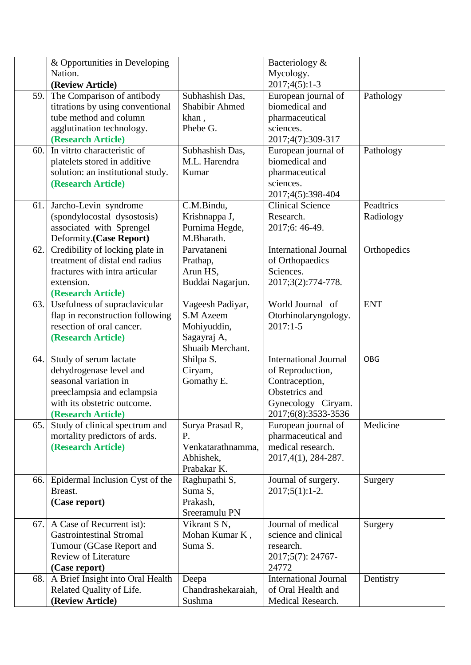|     | & Opportunities in Developing                                   |                                | Bacteriology &                          |             |
|-----|-----------------------------------------------------------------|--------------------------------|-----------------------------------------|-------------|
|     | Nation.                                                         |                                | Mycology.                               |             |
|     | (Review Article)                                                |                                | $2017;4(5):1-3$                         |             |
| 59. | The Comparison of antibody                                      | Subhashish Das,                | European journal of                     | Pathology   |
|     | titrations by using conventional                                | <b>Shabibir Ahmed</b>          | biomedical and                          |             |
|     | tube method and column                                          | khan,                          | pharmaceutical                          |             |
|     | agglutination technology.                                       | Phebe G.                       | sciences.                               |             |
|     | (Research Article)                                              |                                | 2017;4(7):309-317                       |             |
| 60. | In vitrto characteristic of                                     | Subhashish Das,                | European journal of                     | Pathology   |
|     | platelets stored in additive                                    | M.L. Harendra                  | biomedical and                          |             |
|     | solution: an institutional study.                               | Kumar                          | pharmaceutical                          |             |
|     | (Research Article)                                              |                                | sciences.                               |             |
|     |                                                                 |                                | 2017;4(5):398-404                       |             |
| 61. | Jarcho-Levin syndrome                                           | C.M.Bindu,                     | <b>Clinical Science</b>                 | Peadtrics   |
|     | (spondylocostal dysostosis)                                     | Krishnappa J,                  | Research.                               | Radiology   |
|     | associated with Sprengel                                        | Purnima Hegde,                 | 2017;6: 46-49.                          |             |
|     | Deformity.(Case Report)                                         | M.Bharath.                     |                                         |             |
| 62. | Credibility of locking plate in                                 | Parvataneni                    | <b>International Journal</b>            | Orthopedics |
|     | treatment of distal end radius                                  | Prathap,                       | of Orthopaedics                         |             |
|     | fractures with intra articular                                  | Arun HS,                       | Sciences.                               |             |
|     | extension.                                                      | Buddai Nagarjun.               | 2017;3(2):774-778.                      |             |
|     | (Research Article)                                              |                                |                                         |             |
| 63. | Usefulness of supraclavicular                                   | Vageesh Padiyar,               | World Journal of                        | <b>ENT</b>  |
|     | flap in reconstruction following                                | S.M Azeem                      | Otorhinolaryngology.                    |             |
|     | resection of oral cancer.                                       | Mohiyuddin,                    | $2017:1-5$                              |             |
|     | (Research Article)                                              | Sagayraj A,                    |                                         |             |
|     |                                                                 | Shuaib Merchant.               |                                         |             |
| 64. | Study of serum lactate                                          | Shilpa S.                      | <b>International Journal</b>            | <b>OBG</b>  |
|     | dehydrogenase level and                                         | Ciryam,                        | of Reproduction,                        |             |
|     | seasonal variation in                                           | Gomathy E.                     | Contraception,                          |             |
|     | preeclampsia and eclampsia                                      |                                | Obstetrics and                          |             |
|     | with its obstetric outcome.                                     |                                | Gynecology Ciryam.                      |             |
|     | (Research Article)                                              |                                | 2017;6(8):3533-3536                     | Medicine    |
| 65. | Study of clinical spectrum and<br>mortality predictors of ards. | Surya Prasad R,<br>P.          | European journal of                     |             |
|     |                                                                 |                                | pharmaceutical and<br>medical research. |             |
|     | (Research Article)                                              | Venkatarathnamma,<br>Abhishek, | 2017, 4(1), 284-287.                    |             |
|     |                                                                 | Prabakar K.                    |                                         |             |
| 66. | Epidermal Inclusion Cyst of the                                 | Raghupathi S,                  | Journal of surgery.                     | Surgery     |
|     | Breast.                                                         | Suma S,                        | $2017;5(1):1-2.$                        |             |
|     | (Case report)                                                   | Prakash,                       |                                         |             |
|     |                                                                 | Sreeramulu PN                  |                                         |             |
| 67. | A Case of Recurrent ist):                                       | Vikrant S N,                   | Journal of medical                      | Surgery     |
|     | <b>Gastrointestinal Stromal</b>                                 | Mohan Kumar K,                 | science and clinical                    |             |
|     | Tumour (GCase Report and                                        | Suma S.                        | research.                               |             |
|     | <b>Review of Literature</b>                                     |                                | 2017;5(7): 24767-                       |             |
|     | (Case report)                                                   |                                | 24772                                   |             |
| 68. | A Brief Insight into Oral Health                                | Deepa                          | <b>International Journal</b>            | Dentistry   |
|     | Related Quality of Life.                                        | Chandrashekaraiah,             | of Oral Health and                      |             |
|     | (Review Article)                                                | Sushma                         | Medical Research.                       |             |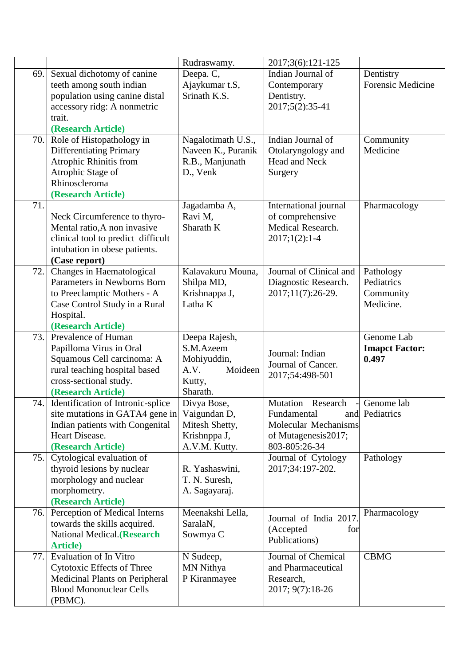| Rudraswamy.<br>Indian Journal of<br>Sexual dichotomy of canine<br>69.<br>Deepa. C,<br>Dentistry<br><b>Forensic Medicine</b><br>teeth among south indian<br>Ajaykumar t.S,<br>Contemporary<br>population using canine distal<br>Srinath K.S.<br>Dentistry.<br>accessory ridg: A nonmetric<br>2017;5(2):35-41<br>trait.<br>(Research Article)<br>Role of Histopathology in<br>Indian Journal of<br>70.<br>Nagalotimath U.S.,<br>Community<br>Medicine<br><b>Differentiating Primary</b><br>Naveen K., Puranik<br>Otolaryngology and |
|-----------------------------------------------------------------------------------------------------------------------------------------------------------------------------------------------------------------------------------------------------------------------------------------------------------------------------------------------------------------------------------------------------------------------------------------------------------------------------------------------------------------------------------|
|                                                                                                                                                                                                                                                                                                                                                                                                                                                                                                                                   |
|                                                                                                                                                                                                                                                                                                                                                                                                                                                                                                                                   |
|                                                                                                                                                                                                                                                                                                                                                                                                                                                                                                                                   |
|                                                                                                                                                                                                                                                                                                                                                                                                                                                                                                                                   |
|                                                                                                                                                                                                                                                                                                                                                                                                                                                                                                                                   |
|                                                                                                                                                                                                                                                                                                                                                                                                                                                                                                                                   |
|                                                                                                                                                                                                                                                                                                                                                                                                                                                                                                                                   |
|                                                                                                                                                                                                                                                                                                                                                                                                                                                                                                                                   |
| Atrophic Rhinitis from<br>Head and Neck<br>R.B., Manjunath                                                                                                                                                                                                                                                                                                                                                                                                                                                                        |
| Atrophic Stage of<br>D., Venk<br>Surgery                                                                                                                                                                                                                                                                                                                                                                                                                                                                                          |
| Rhinoscleroma                                                                                                                                                                                                                                                                                                                                                                                                                                                                                                                     |
| (Research Article)                                                                                                                                                                                                                                                                                                                                                                                                                                                                                                                |
| 71.<br>International journal<br>Jagadamba A,<br>Pharmacology                                                                                                                                                                                                                                                                                                                                                                                                                                                                      |
| Ravi M,<br>of comprehensive<br>Neck Circumference to thyro-                                                                                                                                                                                                                                                                                                                                                                                                                                                                       |
| Medical Research.<br>Sharath K<br>Mental ratio, A non invasive                                                                                                                                                                                                                                                                                                                                                                                                                                                                    |
| clinical tool to predict difficult<br>$2017;1(2):1-4$                                                                                                                                                                                                                                                                                                                                                                                                                                                                             |
| intubation in obese patients.                                                                                                                                                                                                                                                                                                                                                                                                                                                                                                     |
| (Case report)                                                                                                                                                                                                                                                                                                                                                                                                                                                                                                                     |
| Changes in Haematological<br>Journal of Clinical and<br>Kalavakuru Mouna,<br>72.<br>Pathology                                                                                                                                                                                                                                                                                                                                                                                                                                     |
| Parameters in Newborns Born<br>Shilpa MD,<br>Diagnostic Research.<br>Pediatrics                                                                                                                                                                                                                                                                                                                                                                                                                                                   |
| to Preeclamptic Mothers - A<br>Krishnappa J,<br>2017;11(7):26-29.<br>Community                                                                                                                                                                                                                                                                                                                                                                                                                                                    |
| Latha K<br>Medicine.<br>Case Control Study in a Rural                                                                                                                                                                                                                                                                                                                                                                                                                                                                             |
| Hospital.                                                                                                                                                                                                                                                                                                                                                                                                                                                                                                                         |
| (Research Article)                                                                                                                                                                                                                                                                                                                                                                                                                                                                                                                |
| Genome Lab<br>Prevalence of Human<br>Deepa Rajesh,<br>73.                                                                                                                                                                                                                                                                                                                                                                                                                                                                         |
| Papilloma Virus in Oral<br>S.M.Azeem<br><b>Imapct Factor:</b><br>Journal: Indian                                                                                                                                                                                                                                                                                                                                                                                                                                                  |
| Squamous Cell carcinoma: A<br>Mohiyuddin,<br>0.497<br>Journal of Cancer.                                                                                                                                                                                                                                                                                                                                                                                                                                                          |
| rural teaching hospital based<br>A.V.<br>Moideen<br>2017;54:498-501                                                                                                                                                                                                                                                                                                                                                                                                                                                               |
| cross-sectional study.<br>Kutty,                                                                                                                                                                                                                                                                                                                                                                                                                                                                                                  |
| (Research Article)<br>Sharath.                                                                                                                                                                                                                                                                                                                                                                                                                                                                                                    |
| Identification of Intronic-splice<br>Mutation<br>Research<br>Genome lab<br>74.<br>Divya Bose,                                                                                                                                                                                                                                                                                                                                                                                                                                     |
| site mutations in GATA4 gene in<br>Vaigundan D,<br>Fundamental<br>and Pediatrics                                                                                                                                                                                                                                                                                                                                                                                                                                                  |
| Indian patients with Congenital<br>Molecular Mechanisms<br>Mitesh Shetty,                                                                                                                                                                                                                                                                                                                                                                                                                                                         |
| Heart Disease.<br>Krishnppa J,<br>of Mutagenesis2017;                                                                                                                                                                                                                                                                                                                                                                                                                                                                             |
| (Research Article)<br>A.V.M. Kutty.<br>803-805:26-34                                                                                                                                                                                                                                                                                                                                                                                                                                                                              |
| Cytological evaluation of<br>Pathology<br>75.<br>Journal of Cytology                                                                                                                                                                                                                                                                                                                                                                                                                                                              |
| thyroid lesions by nuclear<br>2017;34:197-202.<br>R. Yashaswini,                                                                                                                                                                                                                                                                                                                                                                                                                                                                  |
| morphology and nuclear<br>T. N. Suresh,                                                                                                                                                                                                                                                                                                                                                                                                                                                                                           |
| morphometry.<br>A. Sagayaraj.<br>(Research Article)                                                                                                                                                                                                                                                                                                                                                                                                                                                                               |
| Perception of Medical Interns<br>Meenakshi Lella,<br>Pharmacology<br>76.                                                                                                                                                                                                                                                                                                                                                                                                                                                          |
| Journal of India 2017.<br>towards the skills acquired.<br>SaralaN,                                                                                                                                                                                                                                                                                                                                                                                                                                                                |
| (Accepted<br>for<br>National Medical.(Research<br>Sowmya C                                                                                                                                                                                                                                                                                                                                                                                                                                                                        |
| Publications)<br><b>Article</b> )                                                                                                                                                                                                                                                                                                                                                                                                                                                                                                 |
| <b>Evaluation of In Vitro</b><br>Journal of Chemical<br>77.<br><b>CBMG</b><br>N Sudeep,                                                                                                                                                                                                                                                                                                                                                                                                                                           |
| Cytotoxic Effects of Three<br>MN Nithya<br>and Pharmaceutical                                                                                                                                                                                                                                                                                                                                                                                                                                                                     |
| <b>Medicinal Plants on Peripheral</b><br>P Kiranmayee<br>Research,                                                                                                                                                                                                                                                                                                                                                                                                                                                                |
| <b>Blood Mononuclear Cells</b><br>2017; 9(7):18-26                                                                                                                                                                                                                                                                                                                                                                                                                                                                                |
| (PBMC).                                                                                                                                                                                                                                                                                                                                                                                                                                                                                                                           |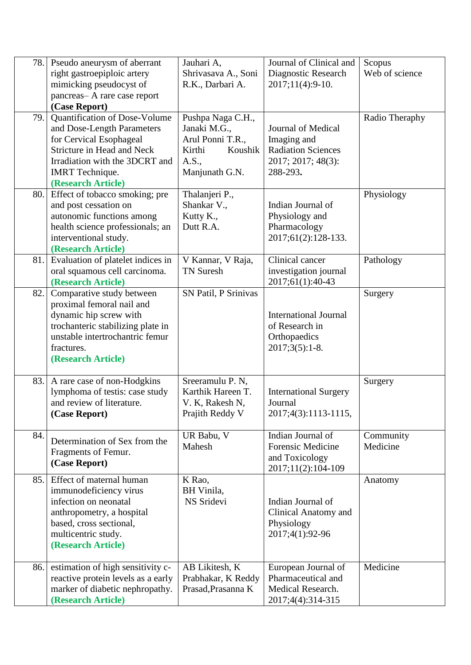|     | 78. Pseudo aneurysm of aberrant<br>right gastroepiploic artery<br>mimicking pseudocyst of<br>pancreas-A rare case report<br>(Case Report)                                                              | Jauhari A,<br>Shrivasava A., Soni<br>R.K., Darbari A.                                                 | Journal of Clinical and<br>Diagnostic Research<br>2017;11(4):9-10.                               | Scopus<br>Web of science |
|-----|--------------------------------------------------------------------------------------------------------------------------------------------------------------------------------------------------------|-------------------------------------------------------------------------------------------------------|--------------------------------------------------------------------------------------------------|--------------------------|
| 79. | Quantification of Dose-Volume<br>and Dose-Length Parameters<br>for Cervical Esophageal<br>Stricture in Head and Neck<br>Irradiation with the 3DCRT and<br><b>IMRT</b> Technique.<br>(Research Article) | Pushpa Naga C.H.,<br>Janaki M.G.,<br>Arul Ponni T.R.,<br>Kirthi<br>Koushik<br>A.S.,<br>Manjunath G.N. | Journal of Medical<br>Imaging and<br><b>Radiation Sciences</b><br>2017; 2017; 48(3):<br>288-293. | Radio Theraphy           |
| 80. | Effect of tobacco smoking; pre<br>and post cessation on<br>autonomic functions among<br>health science professionals; an<br>interventional study.<br>(Research Article)                                | Thalanjeri P.,<br>Shankar V.,<br>Kutty K.,<br>Dutt R.A.                                               | Indian Journal of<br>Physiology and<br>Pharmacology<br>2017;61(2):128-133.                       | Physiology               |
| 81. | Evaluation of platelet indices in<br>oral squamous cell carcinoma.<br>(Research Article)                                                                                                               | V Kannar, V Raja,<br><b>TN Suresh</b>                                                                 | Clinical cancer<br>investigation journal<br>2017;61(1):40-43                                     | Pathology                |
| 82. | Comparative study between<br>proximal femoral nail and<br>dynamic hip screw with<br>trochanteric stabilizing plate in<br>unstable intertrochantric femur<br>fractures.<br>(Research Article)           | SN Patil, P Srinivas                                                                                  | <b>International Journal</b><br>of Research in<br>Orthopaedics<br>$2017;3(5):1-8.$               | Surgery                  |
|     | 83. A rare case of non-Hodgkins<br>lymphoma of testis: case study<br>and review of literature.<br>(Case Report)                                                                                        | Sreeramulu P. N,<br>Karthik Hareen T.<br>V. K, Rakesh N,<br>Prajith Reddy V                           | <b>International Surgery</b><br>Journal<br>2017;4(3):1113-1115,                                  | Surgery                  |
| 84. | Determination of Sex from the<br>Fragments of Femur.<br>(Case Report)                                                                                                                                  | UR Babu, V<br>Mahesh                                                                                  | Indian Journal of<br><b>Forensic Medicine</b><br>and Toxicology<br>2017;11(2):104-109            | Community<br>Medicine    |
| 85. | Effect of maternal human<br>immunodeficiency virus<br>infection on neonatal<br>anthropometry, a hospital<br>based, cross sectional,<br>multicentric study.<br>(Research Article)                       | K Rao,<br>BH Vinila,<br>NS Sridevi                                                                    | Indian Journal of<br><b>Clinical Anatomy and</b><br>Physiology<br>2017;4(1):92-96                | Anatomy                  |
| 86. | estimation of high sensitivity c-<br>reactive protein levels as a early<br>marker of diabetic nephropathy.<br>(Research Article)                                                                       | AB Likitesh, K<br>Prabhakar, K Reddy<br>Prasad, Prasanna K                                            | European Journal of<br>Pharmaceutical and<br>Medical Research.<br>2017;4(4):314-315              | Medicine                 |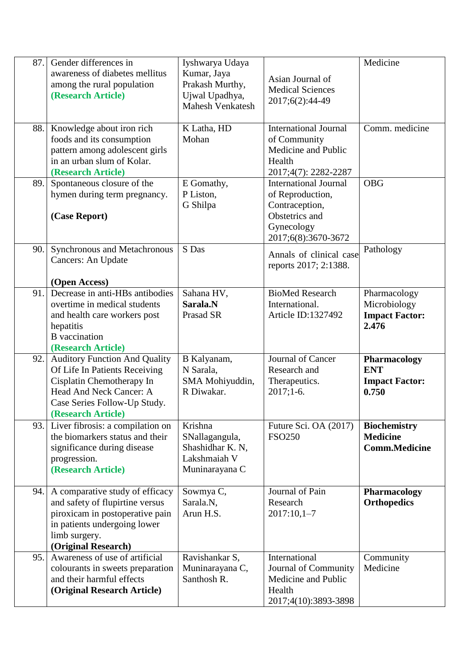| 87. | Gender differences in<br>awareness of diabetes mellitus<br>among the rural population<br>(Research Article)                                                                         | Iyshwarya Udaya<br>Kumar, Jaya<br>Prakash Murthy,<br>Ujwal Upadhya,<br>Mahesh Venkatesh | Asian Journal of<br><b>Medical Sciences</b><br>2017;6(2):44-49                                                            | Medicine                                                       |
|-----|-------------------------------------------------------------------------------------------------------------------------------------------------------------------------------------|-----------------------------------------------------------------------------------------|---------------------------------------------------------------------------------------------------------------------------|----------------------------------------------------------------|
| 88. | Knowledge about iron rich<br>foods and its consumption<br>pattern among adolescent girls<br>in an urban slum of Kolar.<br>(Research Article)                                        | K Latha, HD<br>Mohan                                                                    | <b>International Journal</b><br>of Community<br>Medicine and Public<br>Health<br>2017;4(7): 2282-2287                     | Comm. medicine                                                 |
| 89. | Spontaneous closure of the<br>hymen during term pregnancy.<br>(Case Report)                                                                                                         | E Gomathy,<br>P Liston,<br>G Shilpa                                                     | <b>International Journal</b><br>of Reproduction,<br>Contraception,<br>Obstetrics and<br>Gynecology<br>2017;6(8):3670-3672 | <b>OBG</b>                                                     |
| 90. | Synchronous and Metachronous<br>Cancers: An Update<br>(Open Access)                                                                                                                 | S Das                                                                                   | Annals of clinical case<br>reports 2017; 2:1388.                                                                          | Pathology                                                      |
| 91. | Decrease in anti-HBs antibodies<br>overtime in medical students<br>and health care workers post<br>hepatitis<br><b>B</b> vaccination<br>(Research Article)                          | Sahana HV,<br>Sarala.N<br>Prasad SR                                                     | <b>BioMed Research</b><br>International.<br>Article ID:1327492                                                            | Pharmacology<br>Microbiology<br><b>Impact Factor:</b><br>2.476 |
| 92. | <b>Auditory Function And Quality</b><br>Of Life In Patients Receiving<br>Cisplatin Chemotherapy In<br>Head And Neck Cancer: A<br>Case Series Follow-Up Study.<br>(Research Article) | B Kalyanam,<br>N Sarala,<br>SMA Mohiyuddin,<br>R Diwakar.                               | Journal of Cancer<br>Research and<br>Therapeutics.<br>$2017;1-6.$                                                         | Pharmacology<br><b>ENT</b><br><b>Impact Factor:</b><br>0.750   |
| 93. | Liver fibrosis: a compilation on<br>the biomarkers status and their<br>significance during disease<br>progression.<br>(Research Article)                                            | Krishna<br>SNallagangula,<br>Shashidhar K. N.<br>Lakshmaiah V<br>Muninarayana C         | Future Sci. OA (2017)<br><b>FSO250</b>                                                                                    | <b>Biochemistry</b><br><b>Medicine</b><br><b>Comm.Medicine</b> |
| 94. | A comparative study of efficacy<br>and safety of flupirtine versus<br>piroxicam in postoperative pain<br>in patients undergoing lower<br>limb surgery.<br>(Original Research)       | Sowmya C,<br>Sarala.N.<br>Arun H.S.                                                     | Journal of Pain<br>Research<br>$2017:10,1-7$                                                                              | <b>Pharmacology</b><br><b>Orthopedics</b>                      |
| 95. | Awareness of use of artificial<br>colourants in sweets preparation<br>and their harmful effects<br>(Original Research Article)                                                      | Ravishankar S,<br>Muninarayana C,<br>Santhosh R.                                        | International<br>Journal of Community<br>Medicine and Public<br>Health<br>2017;4(10):3893-3898                            | Community<br>Medicine                                          |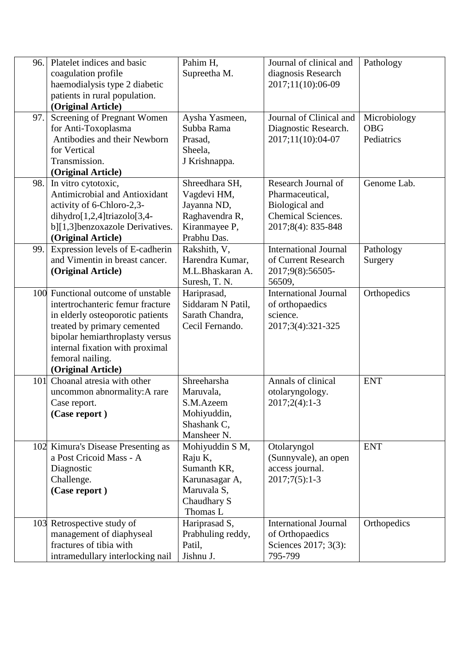| 96. | Platelet indices and basic         | Pahim H,          | Journal of clinical and      | Pathology    |
|-----|------------------------------------|-------------------|------------------------------|--------------|
|     | coagulation profile                | Supreetha M.      | diagnosis Research           |              |
|     | haemodialysis type 2 diabetic      |                   | 2017;11(10):06-09            |              |
|     | patients in rural population.      |                   |                              |              |
|     | (Original Article)                 |                   |                              |              |
| 97. | Screening of Pregnant Women        | Aysha Yasmeen,    | Journal of Clinical and      | Microbiology |
|     | for Anti-Toxoplasma                | Subba Rama        | Diagnostic Research.         | <b>OBG</b>   |
|     | Antibodies and their Newborn       | Prasad,           | 2017;11(10):04-07            | Pediatrics   |
|     | for Vertical                       | Sheela,           |                              |              |
|     | Transmission.                      | J Krishnappa.     |                              |              |
|     | (Original Article)                 |                   |                              |              |
| 98. | In vitro cytotoxic,                | Shreedhara SH,    | Research Journal of          | Genome Lab.  |
|     | Antimicrobial and Antioxidant      | Vagdevi HM,       | Pharmaceutical,              |              |
|     | activity of 6-Chloro-2,3-          | Jayanna ND,       | Biological and               |              |
|     | $dihydro[1,2,4]triazolo[3,4-$      | Raghavendra R,    | <b>Chemical Sciences.</b>    |              |
|     | b][1,3]benzoxazole Derivatives.    | Kiranmayee P,     | 2017;8(4): 835-848           |              |
|     | (Original Article)                 | Prabhu Das.       |                              |              |
| 99. | Expression levels of E-cadherin    | Rakshith, V,      | <b>International Journal</b> | Pathology    |
|     | and Vimentin in breast cancer.     | Harendra Kumar,   | of Current Research          | Surgery      |
|     | (Original Article)                 | M.L.Bhaskaran A.  | 2017;9(8):56505-             |              |
|     |                                    | Suresh, T. N.     | 56509,                       |              |
|     | 100 Functional outcome of unstable | Hariprasad,       | <b>International Journal</b> | Orthopedics  |
|     | intertrochanteric femur fracture   | Siddaram N Patil, | of orthopaedics              |              |
|     | in elderly osteoporotic patients   | Sarath Chandra,   | science.                     |              |
|     | treated by primary cemented        | Cecil Fernando.   | 2017;3(4):321-325            |              |
|     | bipolar hemiarthroplasty versus    |                   |                              |              |
|     | internal fixation with proximal    |                   |                              |              |
|     | femoral nailing.                   |                   |                              |              |
|     | (Original Article)                 |                   |                              |              |
| 101 | Choanal atresia with other         | Shreeharsha       | Annals of clinical           | <b>ENT</b>   |
|     | uncommon abnormality: A rare       | Maruvala,         | otolaryngology.              |              |
|     | Case report.                       | S.M.Azeem         | $2017;2(4):1-3$              |              |
|     | (Case report)                      | Mohiyuddin,       |                              |              |
|     |                                    | Shashank C,       |                              |              |
|     |                                    | Mansheer N.       |                              |              |
|     | 102 Kimura's Disease Presenting as | Mohiyuddin S M,   | Otolaryngol                  | <b>ENT</b>   |
|     | a Post Cricoid Mass - A            | Raju K,           | (Sunnyvale), an open         |              |
|     | Diagnostic                         | Sumanth KR,       | access journal.              |              |
|     | Challenge.                         | Karunasagar A,    | $2017;7(5):1-3$              |              |
|     | (Case report)                      | Maruvala S,       |                              |              |
|     |                                    | Chaudhary S       |                              |              |
|     |                                    | Thomas L          |                              |              |
|     | 103 Retrospective study of         | Hariprasad S,     | <b>International Journal</b> | Orthopedics  |
|     | management of diaphyseal           | Prabhuling reddy, | of Orthopaedics              |              |
|     | fractures of tibia with            | Patil,            | Sciences 2017; 3(3):         |              |
|     | intramedullary interlocking nail   | Jishnu J.         | 795-799                      |              |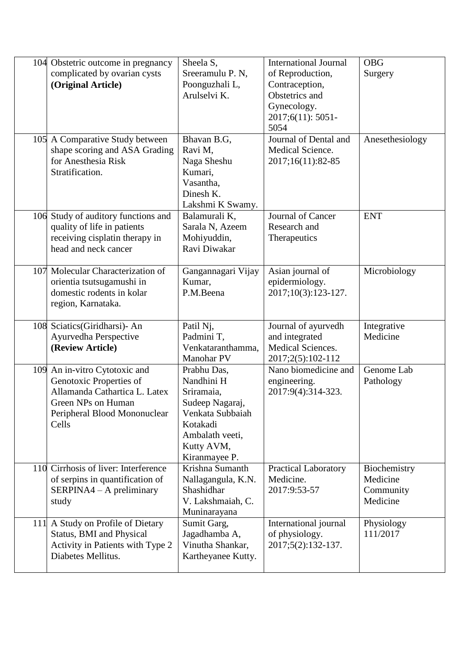| 104 Obstetric outcome in pregnancy                    | Sheela S,               | <b>International Journal</b>          | <b>OBG</b>              |
|-------------------------------------------------------|-------------------------|---------------------------------------|-------------------------|
| complicated by ovarian cysts                          | Sreeramulu P. N,        | of Reproduction,                      | Surgery                 |
| (Original Article)                                    | Poonguzhali L,          | Contraception,                        |                         |
|                                                       | Arulselvi K.            | Obstetrics and                        |                         |
|                                                       |                         | Gynecology.                           |                         |
|                                                       |                         | 2017;6(11): 5051-                     |                         |
|                                                       |                         | 5054                                  |                         |
| 105 A Comparative Study between                       | Bhavan B.G,             | Journal of Dental and                 | Anesethesiology         |
| shape scoring and ASA Grading                         | Ravi M.                 | Medical Science.                      |                         |
| for Anesthesia Risk                                   | Naga Sheshu             | 2017;16(11):82-85                     |                         |
| Stratification.                                       | Kumari,                 |                                       |                         |
|                                                       | Vasantha,               |                                       |                         |
|                                                       | Dinesh K.               |                                       |                         |
|                                                       | Lakshmi K Swamy.        |                                       |                         |
| 106 Study of auditory functions and                   | Balamurali K,           | Journal of Cancer                     | <b>ENT</b>              |
| quality of life in patients                           | Sarala N, Azeem         | Research and                          |                         |
| receiving cisplatin therapy in                        | Mohiyuddin,             | Therapeutics                          |                         |
| head and neck cancer                                  | Ravi Diwakar            |                                       |                         |
|                                                       |                         |                                       |                         |
| 107 Molecular Characterization of                     | Gangannagari Vijay      | Asian journal of                      | Microbiology            |
| orientia tsutsugamushi in                             | Kumar,                  | epidermiology.                        |                         |
| domestic rodents in kolar                             | P.M.Beena               | 2017;10(3):123-127.                   |                         |
| region, Karnataka.                                    |                         |                                       |                         |
|                                                       |                         |                                       |                         |
| 108 Sciatics(Giridharsi)- An<br>Ayurvedha Perspective | Patil Nj,<br>Padmini T, | Journal of ayurvedh<br>and integrated | Integrative<br>Medicine |
| (Review Article)                                      | Venkataranthamma,       | <b>Medical Sciences.</b>              |                         |
|                                                       | Manohar PV              | 2017;2(5):102-112                     |                         |
| 109 An in-vitro Cytotoxic and                         | Prabhu Das,             | Nano biomedicine and                  | Genome Lab              |
| Genotoxic Properties of                               | Nandhini H              | engineering.                          | Pathology               |
| Allamanda Cathartica L. Latex                         | Sriramaia,              | 2017:9(4):314-323.                    |                         |
| Green NPs on Human                                    | Sudeep Nagaraj,         |                                       |                         |
| Peripheral Blood Mononuclear                          | Venkata Subbaiah        |                                       |                         |
| Cells                                                 | Kotakadi                |                                       |                         |
|                                                       | Ambalath veeti,         |                                       |                         |
|                                                       | Kutty AVM,              |                                       |                         |
|                                                       | Kiranmayee P.           |                                       |                         |
| 110 Cirrhosis of liver: Interference                  | Krishna Sumanth         | <b>Practical Laboratory</b>           | Biochemistry            |
| of serpins in quantification of                       | Nallagangula, K.N.      | Medicine.                             | Medicine                |
| SERPINA4 - A preliminary                              | Shashidhar              | 2017:9:53-57                          | Community               |
| study                                                 | V. Lakshmaiah, C.       |                                       | Medicine                |
|                                                       | Muninarayana            |                                       |                         |
| 111 A Study on Profile of Dietary                     | Sumit Garg,             | International journal                 | Physiology              |
| <b>Status, BMI and Physical</b>                       | Jagadhamba A,           | of physiology.                        | 111/2017                |
| Activity in Patients with Type 2                      | Vinutha Shankar,        | 2017;5(2):132-137.                    |                         |
|                                                       |                         |                                       |                         |
| Diabetes Mellitus.                                    | Kartheyanee Kutty.      |                                       |                         |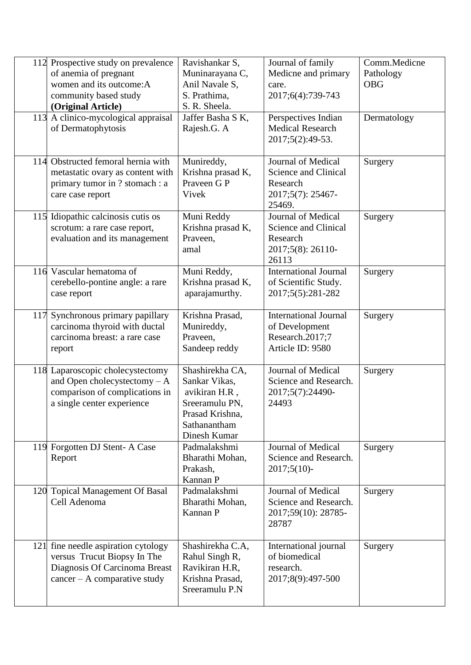|     | 112 Prospective study on prevalence<br>of anemia of pregnant<br>women and its outcome: A<br>community based study<br>(Original Article) | Ravishankar S,<br>Muninarayana C,<br>Anil Navale S,<br>S. Prathima,<br>S. R. Sheela.                                   | Journal of family<br>Medicne and primary<br>care.<br>2017;6(4):739-743                | Comm.Medicne<br>Pathology<br><b>OBG</b> |
|-----|-----------------------------------------------------------------------------------------------------------------------------------------|------------------------------------------------------------------------------------------------------------------------|---------------------------------------------------------------------------------------|-----------------------------------------|
|     | 113 A clinico-mycological appraisal<br>of Dermatophytosis                                                                               | Jaffer Basha S K,<br>Rajesh.G. A                                                                                       | Perspectives Indian<br><b>Medical Research</b><br>2017;5(2):49-53.                    | Dermatology                             |
|     | 114 Obstructed femoral hernia with<br>metastatic ovary as content with<br>primary tumor in ? stomach : a<br>care case report            | Munireddy,<br>Krishna prasad K,<br>Praveen G P<br>Vivek                                                                | Journal of Medical<br>Science and Clinical<br>Research<br>2017;5(7): 25467-<br>25469. | Surgery                                 |
|     | 115 Idiopathic calcinosis cutis os<br>scrotum: a rare case report,<br>evaluation and its management                                     | Muni Reddy<br>Krishna prasad K,<br>Praveen,<br>amal                                                                    | Journal of Medical<br>Science and Clinical<br>Research<br>2017;5(8): 26110-<br>26113  | Surgery                                 |
|     | 116 Vascular hematoma of<br>cerebello-pontine angle: a rare<br>case report                                                              | Muni Reddy,<br>Krishna prasad K,<br>aparajamurthy.                                                                     | <b>International Journal</b><br>of Scientific Study.<br>2017;5(5):281-282             | Surgery                                 |
| 117 | Synchronous primary papillary<br>carcinoma thyroid with ductal<br>carcinoma breast: a rare case<br>report                               | Krishna Prasad,<br>Munireddy,<br>Praveen,<br>Sandeep reddy                                                             | <b>International Journal</b><br>of Development<br>Research.2017;7<br>Article ID: 9580 | Surgery                                 |
|     | 118 Laparoscopic cholecystectomy<br>and Open cholecystectomy - A<br>comparison of complications in<br>a single center experience        | Shashirekha CA,<br>Sankar Vikas,<br>avikiran H.R,<br>Sreeramulu PN,<br>Prasad Krishna,<br>Sathanantham<br>Dinesh Kumar | Journal of Medical<br>Science and Research.<br>2017;5(7):24490-<br>24493              | Surgery                                 |
|     | 119 Forgotten DJ Stent-A Case<br>Report                                                                                                 | Padmalakshmi<br>Bharathi Mohan,<br>Prakash,<br>Kannan P                                                                | Journal of Medical<br>Science and Research.<br>$2017;5(10)$ -                         | Surgery                                 |
|     | 120 Topical Management Of Basal<br>Cell Adenoma                                                                                         | Padmalakshmi<br>Bharathi Mohan,<br>Kannan P                                                                            | Journal of Medical<br>Science and Research.<br>2017;59(10): 28785-<br>28787           | Surgery                                 |
|     | 121 fine needle aspiration cytology<br>versus Trucut Biopsy In The<br>Diagnosis Of Carcinoma Breast<br>$cancer - A comparative study$   | Shashirekha C.A,<br>Rahul Singh R,<br>Ravikiran H.R,<br>Krishna Prasad,<br>Sreeramulu P.N                              | International journal<br>of biomedical<br>research.<br>2017;8(9):497-500              | Surgery                                 |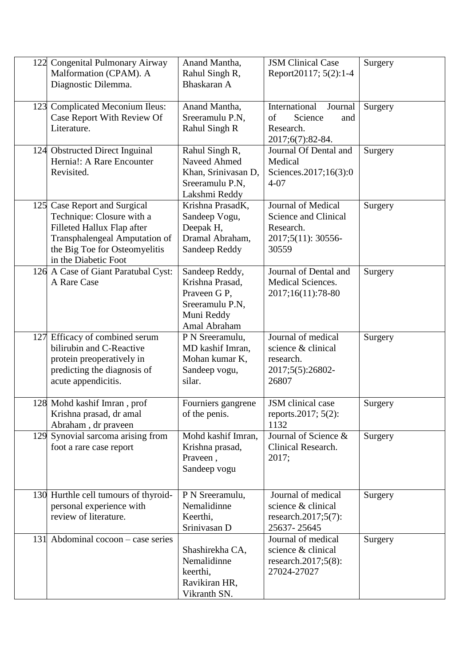| 122 Congenital Pulmonary Airway<br>Malformation (CPAM). A<br>Diagnostic Dilemma.                                                                                                  | Anand Mantha,<br>Rahul Singh R,<br>Bhaskaran A                                                     | <b>JSM Clinical Case</b><br>Report20117; 5(2):1-4                                      | Surgery |
|-----------------------------------------------------------------------------------------------------------------------------------------------------------------------------------|----------------------------------------------------------------------------------------------------|----------------------------------------------------------------------------------------|---------|
| 123 Complicated Meconium Ileus:<br>Case Report With Review Of<br>Literature.                                                                                                      | Anand Mantha,<br>Sreeramulu P.N,<br>Rahul Singh R                                                  | International<br>Journal<br>of<br>Science<br>and<br>Research.<br>2017;6(7):82-84.      | Surgery |
| 124 Obstructed Direct Inguinal<br>Hernia!: A Rare Encounter<br>Revisited.                                                                                                         | Rahul Singh R,<br>Naveed Ahmed<br>Khan, Srinivasan D,<br>Sreeramulu P.N,<br>Lakshmi Reddy          | Journal Of Dental and<br>Medical<br>Sciences.2017;16(3):0<br>$4 - 07$                  | Surgery |
| 125 Case Report and Surgical<br>Technique: Closure with a<br>Filleted Hallux Flap after<br>Transphalengeal Amputation of<br>the Big Toe for Osteomyelitis<br>in the Diabetic Foot | Krishna PrasadK,<br>Sandeep Vogu,<br>Deepak H,<br>Dramal Abraham,<br>Sandeep Reddy                 | Journal of Medical<br>Science and Clinical<br>Research.<br>2017;5(11): 30556-<br>30559 | Surgery |
| 126 A Case of Giant Paratubal Cyst:<br>A Rare Case                                                                                                                                | Sandeep Reddy,<br>Krishna Prasad,<br>Praveen G P,<br>Sreeramulu P.N,<br>Muni Reddy<br>Amal Abraham | Journal of Dental and<br><b>Medical Sciences.</b><br>2017;16(11):78-80                 | Surgery |
| 127 Efficacy of combined serum<br>bilirubin and C-Reactive<br>protein preoperatively in<br>predicting the diagnosis of<br>acute appendicitis.                                     | P N Sreeramulu,<br>MD kashif Imran,<br>Mohan kumar K,<br>Sandeep vogu,<br>silar.                   | Journal of medical<br>science & clinical<br>research.<br>2017;5(5):26802-<br>26807     | Surgery |
| 128 Mohd kashif Imran, prof<br>Krishna prasad, dr amal<br>Abraham, dr praveen                                                                                                     | Fourniers gangrene<br>of the penis.                                                                | JSM clinical case<br>reports.2017; 5(2):<br>1132                                       | Surgery |
| 129 Synovial sarcoma arising from<br>foot a rare case report                                                                                                                      | Mohd kashif Imran,<br>Krishna prasad,<br>Praveen,<br>Sandeep vogu                                  | Journal of Science &<br>Clinical Research.<br>2017;                                    | Surgery |
| 130 Hurthle cell tumours of thyroid-<br>personal experience with<br>review of literature.                                                                                         | P N Sreeramulu,<br>Nemalidinne<br>Keerthi,<br>Srinivasan D                                         | Journal of medical<br>science & clinical<br>research.2017;5 $(7)$ :<br>25637-25645     | Surgery |
| 131 Abdominal cocoon – case series                                                                                                                                                | Shashirekha CA,<br>Nemalidinne<br>keerthi,<br>Ravikiran HR,<br>Vikranth SN.                        | Journal of medical<br>science & clinical<br>research.2017;5(8):<br>27024-27027         | Surgery |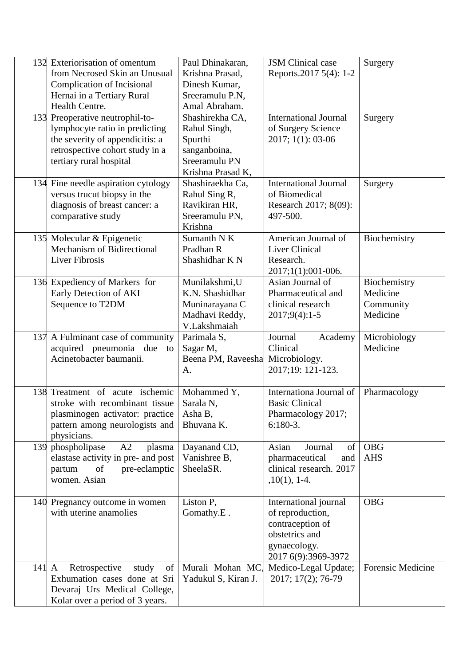|                 | 132 Exteriorisation of omentum<br>from Necrosed Skin an Unusual<br>Complication of Incisional<br>Hernai in a Tertiary Rural<br>Health Centre.                      | Paul Dhinakaran,<br>Krishna Prasad,<br>Dinesh Kumar,<br>Sreeramulu P.N,<br>Amal Abraham.         | <b>JSM</b> Clinical case<br>Reports.2017 5(4): 1-2                                                                     | Surgery                                           |
|-----------------|--------------------------------------------------------------------------------------------------------------------------------------------------------------------|--------------------------------------------------------------------------------------------------|------------------------------------------------------------------------------------------------------------------------|---------------------------------------------------|
|                 | 133 Preoperative neutrophil-to-<br>lymphocyte ratio in predicting<br>the severity of appendicitis: a<br>retrospective cohort study in a<br>tertiary rural hospital | Shashirekha CA,<br>Rahul Singh,<br>Spurthi<br>sanganboina,<br>Sreeramulu PN<br>Krishna Prasad K, | <b>International Journal</b><br>of Surgery Science<br>2017; 1(1): 03-06                                                | Surgery                                           |
|                 | 134 Fine needle aspiration cytology<br>versus trucut biopsy in the<br>diagnosis of breast cancer: a<br>comparative study                                           | Shashiraekha Ca,<br>Rahul Sing R,<br>Ravikiran HR,<br>Sreeramulu PN,<br>Krishna                  | <b>International Journal</b><br>of Biomedical<br>Research 2017; 8(09):<br>497-500.                                     | Surgery                                           |
|                 | 135 Molecular & Epigenetic<br><b>Mechanism of Bidirectional</b><br><b>Liver Fibrosis</b>                                                                           | Sumanth N K<br>Pradhan R<br>Shashidhar K N                                                       | American Journal of<br><b>Liver Clinical</b><br>Research.<br>2017;1(1):001-006.                                        | Biochemistry                                      |
|                 | 136 Expediency of Markers for<br>Early Detection of AKI<br>Sequence to T2DM                                                                                        | Munilakshmi, U<br>K.N. Shashidhar<br>Muninarayana C<br>Madhavi Reddy,<br>V.Lakshmaiah            | Asian Journal of<br>Pharmaceutical and<br>clinical research<br>$2017;9(4):1-5$                                         | Biochemistry<br>Medicine<br>Community<br>Medicine |
|                 | 137 A Fulminant case of community<br>acquired pneumonia due to<br>Acinetobacter baumanii.                                                                          | Parimala S,<br>Sagar M,<br>Beena PM, Raveesha<br>A.                                              | Journal<br>Academy<br>Clinical<br>Microbiology.<br>2017;19: 121-123.                                                   | Microbiology<br>Medicine                          |
|                 | 138 Treatment of acute ischemic<br>stroke with recombinant tissue<br>plasminogen activator: practice<br>pattern among neurologists and<br>physicians.              | Mohammed Y,<br>Sarala N,<br>Asha B,<br>Bhuvana K.                                                | Internationa Journal of<br><b>Basic Clinical</b><br>Pharmacology 2017;<br>$6:180-3.$                                   | Pharmacology                                      |
|                 | 139 phospholipase<br>A2<br>plasma<br>elastase activity in pre- and post<br>pre-eclamptic<br>partum<br>of<br>women. Asian                                           | Dayanand CD,<br>Vanishree B,<br>SheelaSR.                                                        | Asian<br>Journal<br>of<br>pharmaceutical<br>and<br>clinical research. 2017<br>$,10(1), 1-4.$                           | <b>OBG</b><br><b>AHS</b>                          |
|                 | 140 Pregnancy outcome in women<br>with uterine anamolies                                                                                                           | Liston P,<br>Gomathy.E.                                                                          | International journal<br>of reproduction,<br>contraception of<br>obstetrics and<br>gynaecology.<br>2017 6(9):3969-3972 | <b>OBG</b>                                        |
| $141 \text{ A}$ | Retrospective<br>study<br>of<br>Exhumation cases done at Sri<br>Devaraj Urs Medical College,<br>Kolar over a period of 3 years.                                    | Murali Mohan MC,<br>Yadukul S, Kiran J.                                                          | Medico-Legal Update;<br>2017; 17(2); 76-79                                                                             | Forensic Medicine                                 |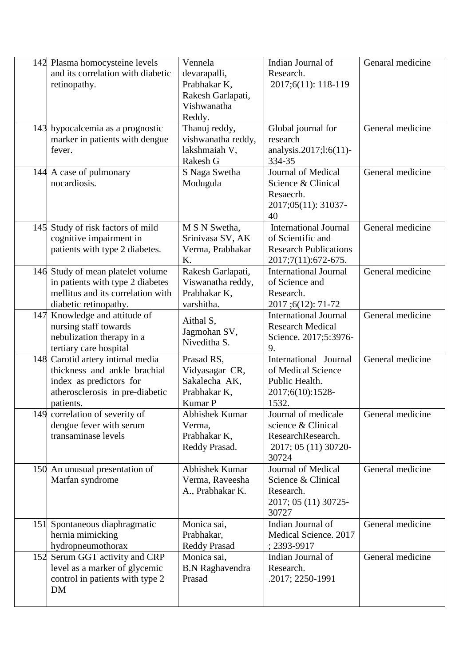| 142 Plasma homocysteine levels<br>and its correlation with diabetic<br>retinopathy.<br>143 hypocalcemia as a prognostic<br>marker in patients with dengue<br>fever. | Vennela<br>devarapalli,<br>Prabhakar K,<br>Rakesh Garlapati,<br>Vishwanatha<br>Reddy.<br>Thanuj reddy,<br>vishwanatha reddy,<br>lakshmaiah V,<br>Rakesh G | Indian Journal of<br>Research.<br>2017;6(11): 118-119<br>Global journal for<br>research<br>analysis.2017;l:6(11)-<br>334-35 | Genaral medicine<br>General medicine |
|---------------------------------------------------------------------------------------------------------------------------------------------------------------------|-----------------------------------------------------------------------------------------------------------------------------------------------------------|-----------------------------------------------------------------------------------------------------------------------------|--------------------------------------|
| 144 A case of pulmonary<br>nocardiosis.                                                                                                                             | S Naga Swetha<br>Modugula                                                                                                                                 | Journal of Medical<br>Science & Clinical<br>Resaecrh.<br>2017;05(11): 31037-<br>40                                          | General medicine                     |
| 145 Study of risk factors of mild<br>cognitive impairment in<br>patients with type 2 diabetes.                                                                      | M S N Swetha,<br>Srinivasa SV, AK<br>Verma, Prabhakar<br>Κ.                                                                                               | <b>International Journal</b><br>of Scientific and<br><b>Research Publications</b><br>2017;7(11):672-675.                    | General medicine                     |
| 146 Study of mean platelet volume<br>in patients with type 2 diabetes<br>mellitus and its correlation with<br>diabetic retinopathy.                                 | Rakesh Garlapati,<br>Viswanatha reddy,<br>Prabhakar K,<br>varshitha.                                                                                      | <b>International Journal</b><br>of Science and<br>Research.<br>2017;6(12): 71-72                                            | General medicine                     |
| 147 Knowledge and attitude of<br>nursing staff towards<br>nebulization therapy in a<br>tertiary care hospital                                                       | Aithal S,<br>Jagmohan SV,<br>Niveditha S.                                                                                                                 | <b>International Journal</b><br><b>Research Medical</b><br>Science. 2017;5:3976-<br>9.                                      | General medicine                     |
| 148 Carotid artery intimal media<br>thickness and ankle brachial<br>index as predictors for<br>atherosclerosis in pre-diabetic<br>patients.                         | Prasad RS,<br>Vidyasagar CR,<br>Sakalecha AK,<br>Prabhakar K,<br>Kumar P                                                                                  | International Journal<br>of Medical Science<br>Public Health.<br>2017;6(10):1528-<br>1532.                                  | General medicine                     |
| 149 correlation of severity of<br>dengue fever with serum<br>transaminase levels                                                                                    | Abhishek Kumar<br>Verma,<br>Prabhakar K,<br>Reddy Prasad.                                                                                                 | Journal of medicale<br>science & Clinical<br>ResearchResearch.<br>2017; 05 (11) 30720-<br>30724                             | General medicine                     |
| 150 An unusual presentation of<br>Marfan syndrome                                                                                                                   | Abhishek Kumar<br>Verma, Raveesha<br>A., Prabhakar K.                                                                                                     | Journal of Medical<br>Science & Clinical<br>Research.<br>2017; 05 (11) 30725-<br>30727                                      | General medicine                     |
| 151 Spontaneous diaphragmatic<br>hernia mimicking<br>hydropneumothorax                                                                                              | Monica sai,<br>Prabhakar,<br><b>Reddy Prasad</b>                                                                                                          | Indian Journal of<br>Medical Science. 2017<br>$; 2393 - 9917$                                                               | General medicine                     |
| 152 Serum GGT activity and CRP<br>level as a marker of glycemic<br>control in patients with type 2<br><b>DM</b>                                                     | Monica sai,<br><b>B.N</b> Raghavendra<br>Prasad                                                                                                           | Indian Journal of<br>Research.<br>.2017; 2250-1991                                                                          | General medicine                     |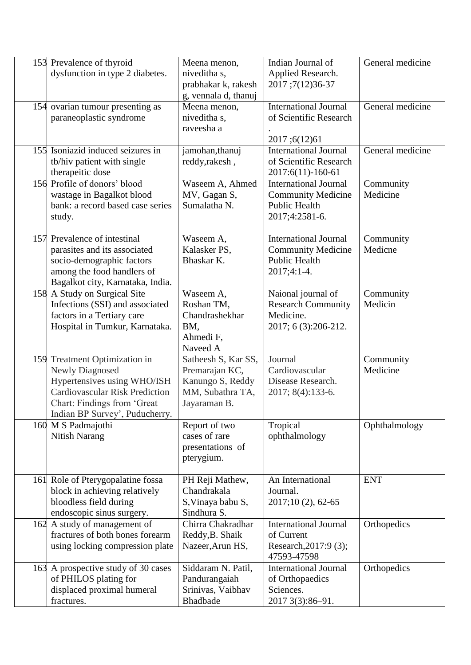| 153 Prevalence of thyroid<br>dysfunction in type 2 diabetes.                                                                                                                                     | Meena menon,<br>niveditha s,<br>prabhakar k, rakesh<br>g, vennala d, thanuj                   | Indian Journal of<br>Applied Research.<br>2017;7(12)36-37                                        | General medicine      |
|--------------------------------------------------------------------------------------------------------------------------------------------------------------------------------------------------|-----------------------------------------------------------------------------------------------|--------------------------------------------------------------------------------------------------|-----------------------|
| 154 ovarian tumour presenting as<br>paraneoplastic syndrome                                                                                                                                      | Meena menon,<br>niveditha s,<br>raveesha a                                                    | <b>International Journal</b><br>of Scientific Research<br>2017;6(12)61                           | General medicine      |
| 155 Isoniazid induced seizures in<br>tb/hiv patient with single<br>therapeitic dose                                                                                                              | jamohan, thanuj<br>reddy, rakesh,                                                             | <b>International Journal</b><br>of Scientific Research<br>2017:6(11)-160-61                      | General medicine      |
| 156 Profile of donors' blood<br>wastage in Bagalkot blood<br>bank: a record based case series<br>study.                                                                                          | Waseem A, Ahmed<br>MV, Gagan S,<br>Sumalatha N.                                               | <b>International Journal</b><br><b>Community Medicine</b><br>Public Health<br>2017;4:2581-6.     | Community<br>Medicine |
| 157 Prevalence of intestinal<br>parasites and its associated<br>socio-demographic factors<br>among the food handlers of<br>Bagalkot city, Karnataka, India.                                      | Waseem A,<br>Kalasker PS,<br>Bhaskar K.                                                       | <b>International Journal</b><br><b>Community Medicine</b><br><b>Public Health</b><br>2017;4:1-4. | Community<br>Medicne  |
| 158 A Study on Surgical Site<br>Infections (SSI) and associated<br>factors in a Tertiary care<br>Hospital in Tumkur, Karnataka.                                                                  | Waseem A,<br>Roshan TM,<br>Chandrashekhar<br>BM,<br>Ahmedi F,<br>Naveed A                     | Naional journal of<br><b>Research Community</b><br>Medicine.<br>2017; 6 (3):206-212.             | Community<br>Medicin  |
| 159 Treatment Optimization in<br><b>Newly Diagnosed</b><br>Hypertensives using WHO/ISH<br><b>Cardiovascular Risk Prediction</b><br>Chart: Findings from 'Great<br>Indian BP Survey', Puducherry. | Satheesh S, Kar SS,<br>Premarajan KC,<br>Kanungo S, Reddy<br>MM, Subathra TA,<br>Jayaraman B. | Journal<br>Cardiovascular<br>Disease Research.<br>2017; 8(4):133-6.                              | Community<br>Medicine |
| 160 M S Padmajothi<br><b>Nitish Narang</b>                                                                                                                                                       | Report of two<br>cases of rare<br>presentations of<br>pterygium.                              | Tropical<br>ophthalmology                                                                        | Ophthalmology         |
| 161 Role of Pterygopalatine fossa<br>block in achieving relatively<br>bloodless field during<br>endoscopic sinus surgery.                                                                        | PH Reji Mathew,<br>Chandrakala<br>S, Vinaya babu S,<br>Sindhura S.                            | An International<br>Journal.<br>2017;10 (2), 62-65                                               | <b>ENT</b>            |
| 162 A study of management of<br>fractures of both bones forearm<br>using locking compression plate                                                                                               | Chirra Chakradhar<br>Reddy, B. Shaik<br>Nazeer, Arun HS,                                      | <b>International Journal</b><br>of Current<br>Research, 2017:9 (3);<br>47593-47598               | Orthopedics           |
| 163 A prospective study of 30 cases<br>of PHILOS plating for<br>displaced proximal humeral<br>fractures.                                                                                         | Siddaram N. Patil,<br>Pandurangaiah<br>Srinivas, Vaibhav<br>Bhadbade                          | <b>International Journal</b><br>of Orthopaedics<br>Sciences.<br>2017 3(3):86-91.                 | Orthopedics           |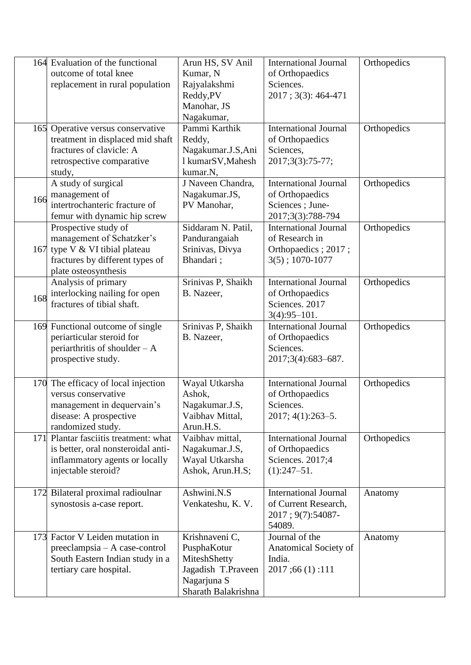|     | 164 Evaluation of the functional<br>outcome of total knee   | Arun HS, SV Anil<br>Kumar, N      | <b>International Journal</b><br>of Orthopaedics      | Orthopedics |
|-----|-------------------------------------------------------------|-----------------------------------|------------------------------------------------------|-------------|
|     | replacement in rural population                             | Rajyalakshmi                      | Sciences.                                            |             |
|     |                                                             | Reddy, PV                         | 2017; 3(3): 464-471                                  |             |
|     |                                                             | Manohar, JS                       |                                                      |             |
|     |                                                             | Nagakumar,                        |                                                      |             |
|     | 165 Operative versus conservative                           | Pammi Karthik                     | <b>International Journal</b>                         | Orthopedics |
|     | treatment in displaced mid shaft                            | Reddy,                            | of Orthopaedics                                      |             |
|     | fractures of clavicle: A                                    | Nagakumar.J.S,Ani                 | Sciences,                                            |             |
|     | retrospective comparative                                   | 1 kumarSV, Mahesh                 | 2017;3(3):75-77;                                     |             |
|     | study,<br>A study of surgical                               | kumar.N,<br>J Naveen Chandra,     | <b>International Journal</b>                         | Orthopedics |
|     | management of                                               | Nagakumar.JS,                     | of Orthopaedics                                      |             |
| 166 | intertrochanteric fracture of                               | PV Manohar,                       | Sciences ; June-                                     |             |
|     | femur with dynamic hip screw                                |                                   | 2017;3(3):788-794                                    |             |
|     | Prospective study of                                        | Siddaram N. Patil,                | <b>International Journal</b>                         | Orthopedics |
|     | management of Schatzker's                                   | Pandurangaiah                     | of Research in                                       |             |
|     | 167 type V & VI tibial plateau                              | Srinivas, Divya                   | Orthopaedics; 2017;                                  |             |
|     | fractures by different types of                             | Bhandari;                         | $3(5); 1070-1077$                                    |             |
|     | plate osteosynthesis                                        |                                   |                                                      |             |
|     | Analysis of primary                                         | Srinivas P, Shaikh<br>B. Nazeer,  | <b>International Journal</b>                         | Orthopedics |
| 168 | interlocking nailing for open<br>fractures of tibial shaft. |                                   | of Orthopaedics<br>Sciences. 2017                    |             |
|     |                                                             |                                   | $3(4):95 - 101.$                                     |             |
|     | 169 Functional outcome of single                            | Srinivas P, Shaikh                | <b>International Journal</b>                         | Orthopedics |
|     | periarticular steroid for                                   | B. Nazeer,                        | of Orthopaedics                                      |             |
|     | periarthritis of shoulder $-A$                              |                                   | Sciences.                                            |             |
|     | prospective study.                                          |                                   | 2017;3(4):683-687.                                   |             |
|     |                                                             |                                   |                                                      |             |
|     | 170 The efficacy of local injection                         | Wayal Utkarsha                    | <b>International Journal</b>                         | Orthopedics |
|     | versus conservative                                         | Ashok,                            | of Orthopaedics<br>Sciences.                         |             |
|     | management in dequervain's<br>disease: A prospective        | Nagakumar.J.S,<br>Vaibhav Mittal, | $2017; 4(1):263-5.$                                  |             |
|     | randomized study.                                           | Arun.H.S.                         |                                                      |             |
|     | 171 Plantar fasciitis treatment: what                       | Vaibhav mittal,                   | <b>International Journal</b>                         | Orthopedics |
|     | is better, oral nonsteroidal anti-                          | Nagakumar.J.S,                    | of Orthopaedics                                      |             |
|     | inflammatory agents or locally                              | Wayal Utkarsha                    | Sciences. 2017;4                                     |             |
|     | injectable steroid?                                         | Ashok, Arun.H.S;                  | $(1):247 - 51.$                                      |             |
|     |                                                             |                                   |                                                      |             |
| 172 | Bilateral proximal radioulnar<br>synostosis a-case report.  | Ashwini.N.S<br>Venkateshu, K. V.  | <b>International Journal</b><br>of Current Research, | Anatomy     |
|     |                                                             |                                   | 2017; 9(7): 54087-                                   |             |
|     |                                                             |                                   | 54089.                                               |             |
|     | 173 Factor V Leiden mutation in                             | Krishnaveni C,                    | Journal of the                                       | Anatomy     |
|     | $preclampsia - A case-control$                              | PusphaKotur                       | Anatomical Society of                                |             |
|     | South Eastern Indian study in a                             | MiteshShetty                      | India.                                               |             |
|     | tertiary care hospital.                                     | Jagadish T.Praveen                | 2017;66(1):111                                       |             |
|     |                                                             | Nagarjuna S                       |                                                      |             |
|     |                                                             | Sharath Balakrishna               |                                                      |             |